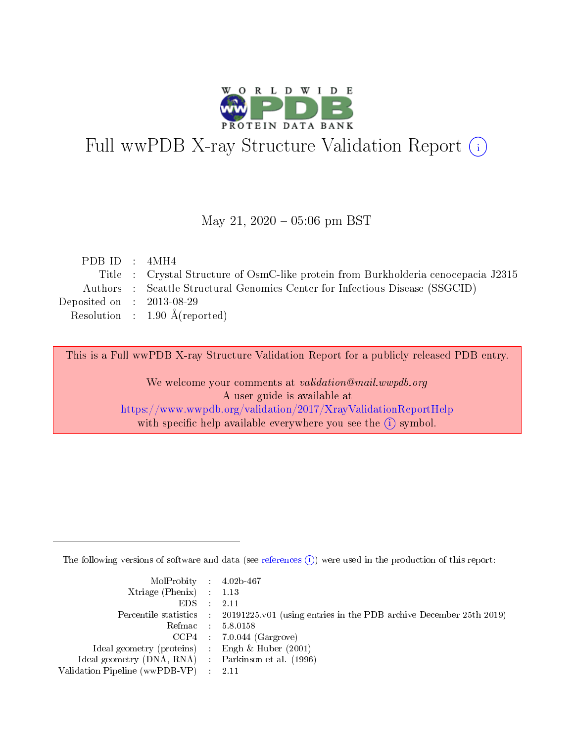

# Full wwPDB X-ray Structure Validation Report (i)

#### May 21,  $2020 - 05:06$  pm BST

| PDB ID : $4MH4$             |                                                                                    |
|-----------------------------|------------------------------------------------------------------------------------|
|                             | Title : Crystal Structure of OsmC-like protein from Burkholderia cenocepacia J2315 |
|                             | Authors : Seattle Structural Genomics Center for Infectious Disease (SSGCID)       |
| Deposited on : $2013-08-29$ |                                                                                    |
|                             | Resolution : $1.90 \text{ Å}$ (reported)                                           |
|                             |                                                                                    |

This is a Full wwPDB X-ray Structure Validation Report for a publicly released PDB entry.

We welcome your comments at validation@mail.wwpdb.org A user guide is available at <https://www.wwpdb.org/validation/2017/XrayValidationReportHelp> with specific help available everywhere you see the  $(i)$  symbol.

The following versions of software and data (see [references](https://www.wwpdb.org/validation/2017/XrayValidationReportHelp#references)  $(i)$ ) were used in the production of this report:

| $MolProbability$ 4.02b-467                          |                                                                                            |
|-----------------------------------------------------|--------------------------------------------------------------------------------------------|
| Xtriage (Phenix) $: 1.13$                           |                                                                                            |
| $EDS$ :                                             | -2.11                                                                                      |
|                                                     | Percentile statistics : 20191225.v01 (using entries in the PDB archive December 25th 2019) |
|                                                     | Refmac : 5.8.0158                                                                          |
|                                                     | $CCP4$ : 7.0.044 (Gargrove)                                                                |
| Ideal geometry (proteins) : Engh $\&$ Huber (2001)  |                                                                                            |
| Ideal geometry (DNA, RNA) : Parkinson et al. (1996) |                                                                                            |
| Validation Pipeline (wwPDB-VP)                      | -2.11                                                                                      |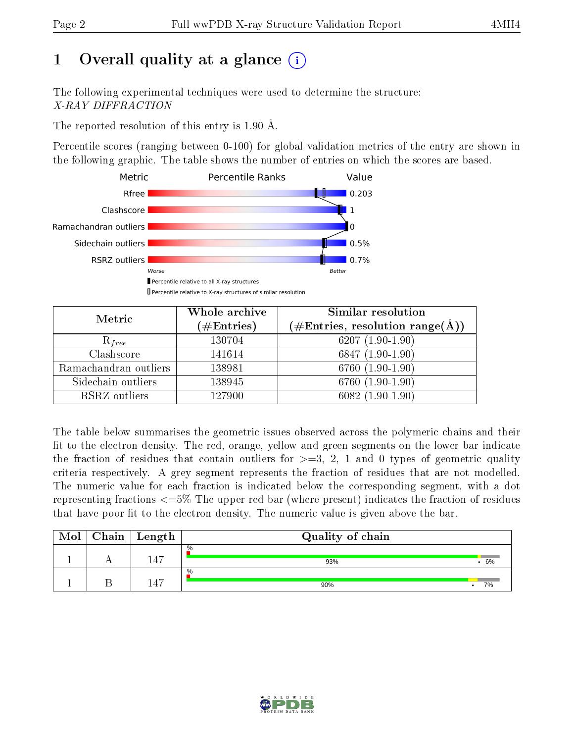## 1 [O](https://www.wwpdb.org/validation/2017/XrayValidationReportHelp#overall_quality)verall quality at a glance  $(i)$

The following experimental techniques were used to determine the structure: X-RAY DIFFRACTION

The reported resolution of this entry is 1.90 Å.

Percentile scores (ranging between 0-100) for global validation metrics of the entry are shown in the following graphic. The table shows the number of entries on which the scores are based.



| Metric                | Whole archive<br>$(\#\text{Entries})$ | Similar resolution<br>$(\#\text{Entries}, \text{resolution range}(\text{\AA}))$ |
|-----------------------|---------------------------------------|---------------------------------------------------------------------------------|
| $R_{free}$            | 130704                                | 6207 $(1.90-1.90)$                                                              |
| Clashscore            | 141614                                | 6847 $(1.90-1.90)$                                                              |
| Ramachandran outliers | 138981                                | $6760(1.90-1.90)$                                                               |
| Sidechain outliers    | 138945                                | 6760 (1.90-1.90)                                                                |
| RSRZ outliers         | 127900                                | $6082(1.90-1.90)$                                                               |

The table below summarises the geometric issues observed across the polymeric chains and their fit to the electron density. The red, orange, yellow and green segments on the lower bar indicate the fraction of residues that contain outliers for  $>=3, 2, 1$  and 0 types of geometric quality criteria respectively. A grey segment represents the fraction of residues that are not modelled. The numeric value for each fraction is indicated below the corresponding segment, with a dot representing fractions <=5% The upper red bar (where present) indicates the fraction of residues that have poor fit to the electron density. The numeric value is given above the bar.

| Mol | $Chain \  Length$ | Quality of chain |     |
|-----|-------------------|------------------|-----|
|     | L 4 7             | $\%$<br>93%      | .6% |
|     | 14 <sup>th</sup>  | $\%$<br>90%      | 7%  |

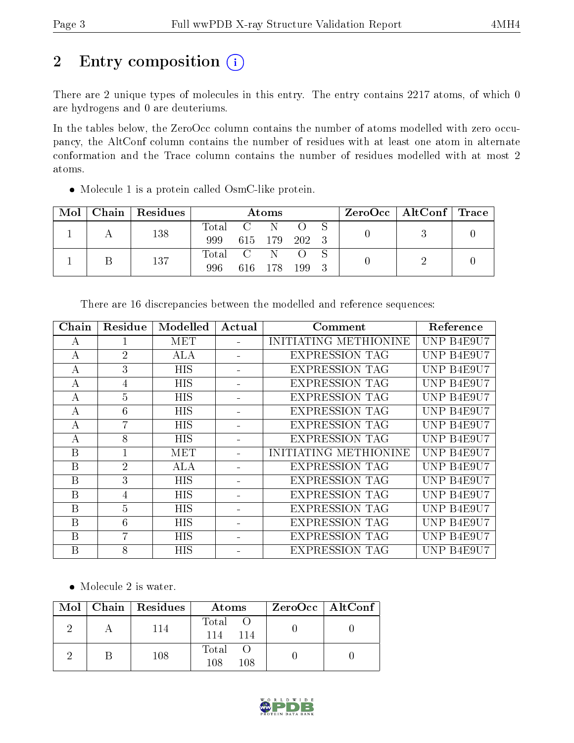# 2 Entry composition (i)

There are 2 unique types of molecules in this entry. The entry contains 2217 atoms, of which 0 are hydrogens and 0 are deuteriums.

In the tables below, the ZeroOcc column contains the number of atoms modelled with zero occupancy, the AltConf column contains the number of residues with at least one atom in alternate conformation and the Trace column contains the number of residues modelled with at most 2 atoms.

Molecule 1 is a protein called OsmC-like protein.

| Mol | Chain | Residues | Atoms |                                                      |     | $\text{ZeroOcc}$   AltConf   Trace |  |  |  |
|-----|-------|----------|-------|------------------------------------------------------|-----|------------------------------------|--|--|--|
|     |       | 138      | Total | $\sim$ C $\sim$                                      |     |                                    |  |  |  |
|     |       | 999      |       | 615 179                                              | 202 |                                    |  |  |  |
|     |       |          | Total | $\overline{C}$ and $\overline{C}$ and $\overline{C}$ |     |                                    |  |  |  |
|     |       | 137      | 996   | 616 -                                                | 178 | 199                                |  |  |  |

| Chain | Residue        | Modelled   | Actual | Comment               | Reference  |
|-------|----------------|------------|--------|-----------------------|------------|
| А     |                | MET        |        | INITIATING METHIONINE | UNP B4E9U7 |
| А     | $\overline{2}$ | <b>ALA</b> |        | <b>EXPRESSION TAG</b> | UNP B4E9U7 |
| А     | 3              | <b>HIS</b> |        | <b>EXPRESSION TAG</b> | UNP B4E9U7 |
| А     | 4              | <b>HIS</b> |        | <b>EXPRESSION TAG</b> | UNP B4E9U7 |
| А     | $\overline{5}$ | <b>HIS</b> |        | <b>EXPRESSION TAG</b> | UNP B4E9U7 |
| А     | 6              | <b>HIS</b> |        | <b>EXPRESSION TAG</b> | UNP B4E9U7 |
| А     | $\overline{7}$ | <b>HIS</b> |        | <b>EXPRESSION TAG</b> | UNP B4E9U7 |
| А     | 8              | <b>HIS</b> |        | <b>EXPRESSION TAG</b> | UNP B4E9U7 |
| B     |                | MET        |        | INITIATING METHIONINE | UNP B4E9U7 |
| B     | $\overline{2}$ | <b>ALA</b> |        | <b>EXPRESSION TAG</b> | UNP B4E9U7 |
| B     | 3              | <b>HIS</b> |        | <b>EXPRESSION TAG</b> | UNP B4E9U7 |
| B     | 4              | <b>HIS</b> |        | <b>EXPRESSION TAG</b> | UNP B4E9U7 |
| B     | $\overline{5}$ | HIS        |        | <b>EXPRESSION TAG</b> | UNP B4E9U7 |
| B     | 6              | <b>HIS</b> |        | <b>EXPRESSION TAG</b> | UNP B4E9U7 |
| B     | $\overline{7}$ | <b>HIS</b> |        | <b>EXPRESSION TAG</b> | UNP B4E9U7 |
| B     | 8              | <b>HIS</b> |        | <b>EXPRESSION TAG</b> | UNP B4E9U7 |

There are 16 discrepancies between the modelled and reference sequences:

• Molecule 2 is water.

|  | $\text{Mol}$   Chain   Residues | Atoms                 | $ZeroOcc \mid AltConf \mid$ |
|--|---------------------------------|-----------------------|-----------------------------|
|  | 114                             | Total O<br>114<br>114 |                             |
|  | 108                             | Total O<br>108<br>108 |                             |

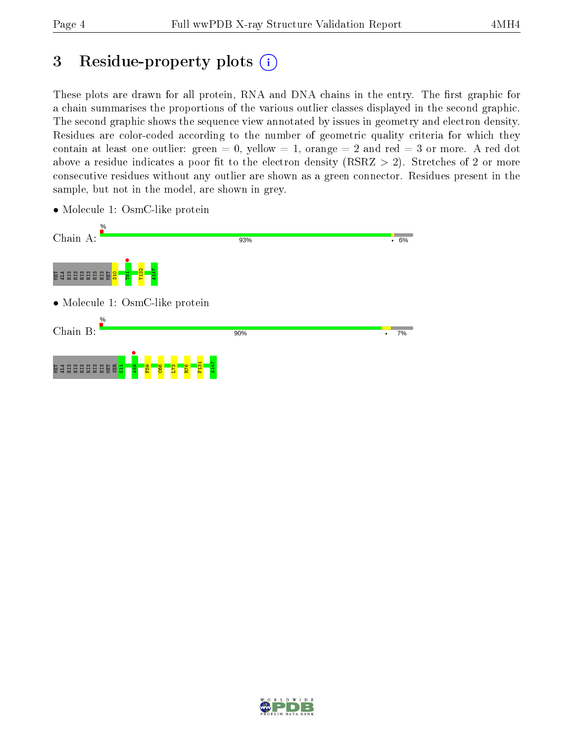## 3 Residue-property plots  $(i)$

These plots are drawn for all protein, RNA and DNA chains in the entry. The first graphic for a chain summarises the proportions of the various outlier classes displayed in the second graphic. The second graphic shows the sequence view annotated by issues in geometry and electron density. Residues are color-coded according to the number of geometric quality criteria for which they contain at least one outlier: green  $= 0$ , yellow  $= 1$ , orange  $= 2$  and red  $= 3$  or more. A red dot above a residue indicates a poor fit to the electron density (RSRZ  $> 2$ ). Stretches of 2 or more consecutive residues without any outlier are shown as a green connector. Residues present in the sample, but not in the model, are shown in grey.



• Molecule 1: OsmC-like protein

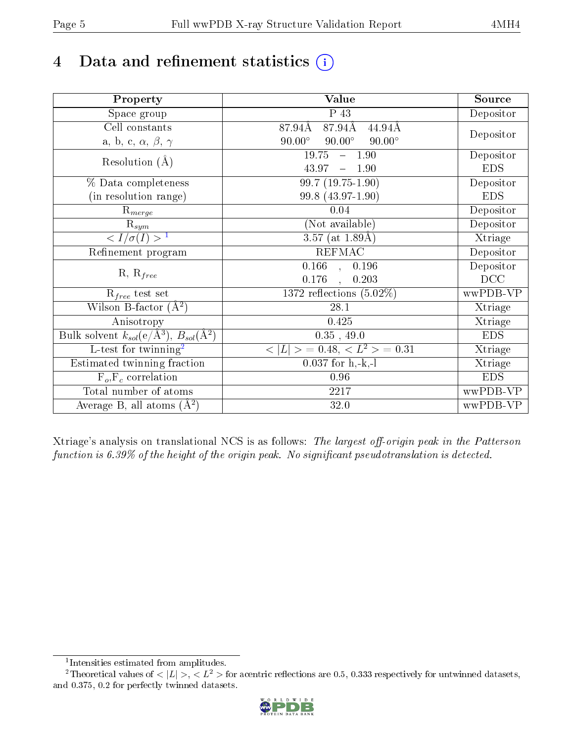# 4 Data and refinement statistics  $(i)$

| Property                                                             | Value                                           | Source     |
|----------------------------------------------------------------------|-------------------------------------------------|------------|
| Space group                                                          | $\overline{P}$ 43                               | Depositor  |
| Cell constants                                                       | 87.94Å<br>87.94Å<br>44.94Å                      |            |
| a, b, c, $\alpha$ , $\beta$ , $\gamma$                               | $90.00^\circ$<br>$90.00^\circ$<br>$90.00^\circ$ | Depositor  |
| Resolution $(A)$                                                     | 19.75<br>$-1.90$                                | Depositor  |
|                                                                      | 43.97<br>$-1.90$                                | <b>EDS</b> |
| % Data completeness                                                  | 99.7 (19.75-1.90)                               | Depositor  |
| (in resolution range)                                                | 99.8 (43.97-1.90)                               | <b>EDS</b> |
| $R_{merge}$                                                          | 0.04                                            | Depositor  |
| $\mathrm{R}_{sym}$                                                   | (Not available)                                 | Depositor  |
| $\sqrt{I/\sigma}(I) > 1$                                             | 3.57 (at $1.89\text{\AA})$                      | Xtriage    |
| Refinement program                                                   | <b>REFMAC</b>                                   | Depositor  |
|                                                                      | $\overline{0.166}$ ,<br>0.196                   | Depositor  |
| $R, R_{free}$                                                        | 0.176<br>0.203                                  | DCC        |
| $R_{free}$ test set                                                  | 1372 reflections $(5.02\%)$                     | wwPDB-VP   |
| Wilson B-factor $(A^2)$                                              | 28.1                                            | Xtriage    |
| Anisotropy                                                           | 0.425                                           | Xtriage    |
| Bulk solvent $k_{sol}(e/\mathring{A}^3)$ , $B_{sol}(\mathring{A}^2)$ | $0.35$ , 49.0                                   | <b>EDS</b> |
| L-test for twinning <sup>2</sup>                                     | $< L >$ = 0.48, $< L2$ = 0.31                   | Xtriage    |
| Estimated twinning fraction                                          | $0.037$ for h,-k,-l                             | Xtriage    |
| $F_o, F_c$ correlation                                               | 0.96                                            | <b>EDS</b> |
| Total number of atoms                                                | 2217                                            | wwPDB-VP   |
| Average B, all atoms $(A^2)$                                         | 32.0                                            | wwPDB-VP   |

Xtriage's analysis on translational NCS is as follows: The largest off-origin peak in the Patterson function is  $6.39\%$  of the height of the origin peak. No significant pseudotranslation is detected.

<sup>&</sup>lt;sup>2</sup>Theoretical values of  $\langle |L| \rangle$ ,  $\langle L^2 \rangle$  for acentric reflections are 0.5, 0.333 respectively for untwinned datasets, and 0.375, 0.2 for perfectly twinned datasets.



<span id="page-4-1"></span><span id="page-4-0"></span><sup>1</sup> Intensities estimated from amplitudes.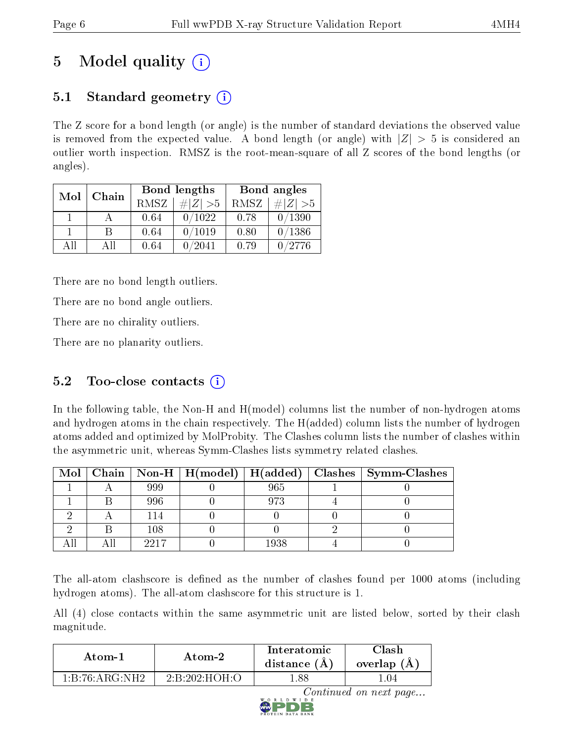## 5 Model quality  $(i)$

### 5.1 Standard geometry  $\overline{()}$

The Z score for a bond length (or angle) is the number of standard deviations the observed value is removed from the expected value. A bond length (or angle) with  $|Z| > 5$  is considered an outlier worth inspection. RMSZ is the root-mean-square of all Z scores of the bond lengths (or angles).

| Mol | Chain |      | Bond lengths | Bond angles |             |  |
|-----|-------|------|--------------|-------------|-------------|--|
|     |       | RMSZ | $\ Z\  > 5$  | RMSZ        | $\# Z  > 5$ |  |
|     |       | 0.64 | 0/1022       | 0.78        | 0/1390      |  |
|     | В     | 0.64 | 0/1019       | 0.80        | 0/1386      |  |
| AH  | Αll   | 0.64 | 0/2041       | 0.79        | 0/2776      |  |

There are no bond length outliers.

There are no bond angle outliers.

There are no chirality outliers.

There are no planarity outliers.

### 5.2 Too-close contacts  $(i)$

In the following table, the Non-H and H(model) columns list the number of non-hydrogen atoms and hydrogen atoms in the chain respectively. The H(added) column lists the number of hydrogen atoms added and optimized by MolProbity. The Clashes column lists the number of clashes within the asymmetric unit, whereas Symm-Clashes lists symmetry related clashes.

|  |      |      | Mol   Chain   Non-H   H(model)   H(added)   Clashes   Symm-Clashes |
|--|------|------|--------------------------------------------------------------------|
|  | 999  | 965  |                                                                    |
|  | 996  | 973  |                                                                    |
|  |      |      |                                                                    |
|  | 108  |      |                                                                    |
|  | 2217 | 1938 |                                                                    |

The all-atom clashscore is defined as the number of clashes found per 1000 atoms (including hydrogen atoms). The all-atom clashscore for this structure is 1.

All (4) close contacts within the same asymmetric unit are listed below, sorted by their clash magnitude.

| Atom-1                                         | Atom-2        | Interatomic<br>distance $(A)$ | Clash<br>overlap $(A)$ |
|------------------------------------------------|---------------|-------------------------------|------------------------|
| $1 \cdot B \cdot 76 \cdot A \cdot G \cdot NH2$ | 2:B:202:HOH O | .88                           | .04                    |

Continued on next page...

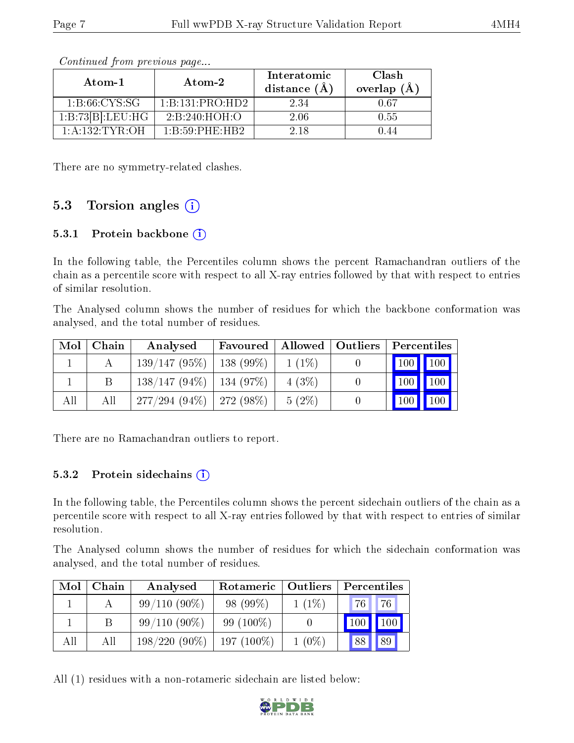| Atom-1            | Atom-2                                    | Interatomic<br>distance $(A)$ | Clash<br>overlap $(A)$ |  |  |  |
|-------------------|-------------------------------------------|-------------------------------|------------------------|--|--|--|
| 1:8:66:CYS:SG     | $1 \cdot B \cdot 131 \cdot PRO \cdot HD2$ | 2.34                          | 0.67                   |  |  |  |
| 1:B:73[B]:LEU:HG  | 2:B:240:HOH:O                             | 2 06                          | 0.55                   |  |  |  |
| $1:$ A:132:TYR:OH | $1 \cdot B \cdot 59 \cdot PHF \cdot HB2$  | 2.18                          | I 44                   |  |  |  |

Continued from previous page...

There are no symmetry-related clashes.

#### 5.3 Torsion angles  $(i)$

#### 5.3.1 Protein backbone (i)

In the following table, the Percentiles column shows the percent Ramachandran outliers of the chain as a percentile score with respect to all X-ray entries followed by that with respect to entries of similar resolution.

The Analysed column shows the number of residues for which the backbone conformation was analysed, and the total number of residues.

| Mol | Chain | Analysed                     | Favoured |          | Allowed   Outliers   Percentiles |                                 |                             |
|-----|-------|------------------------------|----------|----------|----------------------------------|---------------------------------|-----------------------------|
|     |       | $139/147(95\%)$   138 (99\%) |          | $1(1\%)$ |                                  | $\vert$ 100 $\vert$ 100 $\vert$ |                             |
|     |       | $138/147(94\%)$   134 (97\%) |          | 4(3%)    |                                  | $100$   $100$                   |                             |
| All | All   | $277/294(94\%)$ 272 (98\%)   |          | $5(2\%)$ |                                  | $\vert$ 100 $\vert$             | $\parallel$ 100 $\parallel$ |

There are no Ramachandran outliers to report.

#### $5.3.2$  Protein sidechains  $(i)$

In the following table, the Percentiles column shows the percent sidechain outliers of the chain as a percentile score with respect to all X-ray entries followed by that with respect to entries of similar resolution.

The Analysed column shows the number of residues for which the sidechain conformation was analysed, and the total number of residues.

| Mol | Chain | Analysed        | Rotameric    | Outliers | Percentiles |     |
|-----|-------|-----------------|--------------|----------|-------------|-----|
|     |       | $99/110(90\%)$  | 98 (99\%)    | $1(1\%)$ | 76          | 76  |
|     |       | $99/110(90\%)$  | 99 $(100\%)$ |          |             | 100 |
| All | All   | $198/220(90\%)$ | $197(100\%)$ | $1(0\%)$ | 88          | 89  |

All (1) residues with a non-rotameric sidechain are listed below:

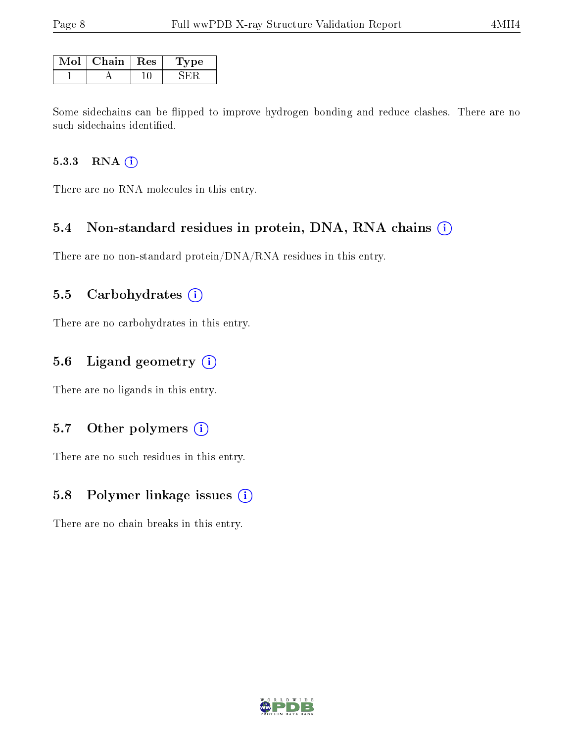| Mol | Chain | $\mathbf{Res}$ | Tvpe |
|-----|-------|----------------|------|
|     |       |                |      |

Some sidechains can be flipped to improve hydrogen bonding and reduce clashes. There are no such sidechains identified.

#### 5.3.3 RNA (i)

There are no RNA molecules in this entry.

#### 5.4 Non-standard residues in protein, DNA, RNA chains  $(i)$

There are no non-standard protein/DNA/RNA residues in this entry.

#### 5.5 Carbohydrates  $(i)$

There are no carbohydrates in this entry.

#### 5.6 Ligand geometry  $(i)$

There are no ligands in this entry.

#### 5.7 [O](https://www.wwpdb.org/validation/2017/XrayValidationReportHelp#nonstandard_residues_and_ligands)ther polymers  $(i)$

There are no such residues in this entry.

#### 5.8 Polymer linkage issues  $(i)$

There are no chain breaks in this entry.